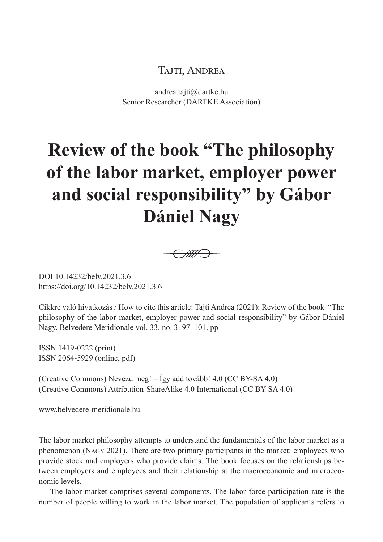## Tajti, Andrea

andrea.tajti@dartke.hu Senior Researcher (DARTKE Association)

## **Review of the book "The philosophy of the labor market, employer power and social responsibility" by Gábor Dániel Nagy**



DOI 10.14232/belv.2021.3.6 https://doi.org/10.14232/belv.2021.3.6

Cikkre való hivatkozás / How to cite this article: Tajti Andrea (2021): Review of the book "The philosophy of the labor market, employer power and social responsibility" by Gábor Dániel Nagy. Belvedere Meridionale vol. 33. no. 3. 97–101. pp

ISSN 1419-0222 (print) ISSN 2064-5929 (online, pdf)

(Creative Commons) Nevezd meg! – Így add tovább! 4.0 (CC BY-SA 4.0) (Creative Commons) Attribution-ShareAlike 4.0 International (CC BY-SA 4.0)

www.belvedere-meridionale.hu

The labor market philosophy attempts to understand the fundamentals of the labor market as a phenomenon (Nagy 2021). There are two primary participants in the market: employees who provide stock and employers who provide claims. The book focuses on the relationships between employers and employees and their relationship at the macroeconomic and microeconomic levels.

The labor market comprises several components. The labor force participation rate is the number of people willing to work in the labor market. The population of applicants refers to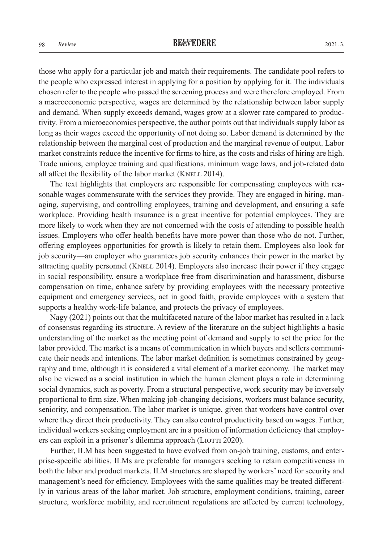those who apply for a particular job and match their requirements. The candidate pool refers to the people who expressed interest in applying for a position by applying for it. The individuals chosen refer to the people who passed the screening process and were therefore employed. From a macroeconomic perspective, wages are determined by the relationship between labor supply and demand. When supply exceeds demand, wages grow at a slower rate compared to productivity. From a microeconomics perspective, the author points out that individuals supply labor as long as their wages exceed the opportunity of not doing so. Labor demand is determined by the relationship between the marginal cost of production and the marginal revenue of output. Labor market constraints reduce the incentive for firms to hire, as the costs and risks of hiring are high. Trade unions, employee training and qualifications, minimum wage laws, and job-related data all affect the flexibility of the labor market (KNELL 2014).

The text highlights that employers are responsible for compensating employees with reasonable wages commensurate with the services they provide. They are engaged in hiring, managing, supervising, and controlling employees, training and development, and ensuring a safe workplace. Providing health insurance is a great incentive for potential employees. They are more likely to work when they are not concerned with the costs of attending to possible health issues. Employers who offer health benefits have more power than those who do not. Further, offering employees opportunities for growth is likely to retain them. Employees also look for job security—an employer who guarantees job security enhances their power in the market by attracting quality personnel (Knell 2014). Employers also increase their power if they engage in social responsibility, ensure a workplace free from discrimination and harassment, disburse compensation on time, enhance safety by providing employees with the necessary protective equipment and emergency services, act in good faith, provide employees with a system that supports a healthy work-life balance, and protects the privacy of employees.

Nagy (2021) points out that the multifaceted nature of the labor market has resulted in a lack of consensus regarding its structure. A review of the literature on the subject highlights a basic understanding of the market as the meeting point of demand and supply to set the price for the labor provided. The market is a means of communication in which buyers and sellers communicate their needs and intentions. The labor market definition is sometimes constrained by geography and time, although it is considered a vital element of a market economy. The market may also be viewed as a social institution in which the human element plays a role in determining social dynamics, such as poverty. From a structural perspective, work security may be inversely proportional to firm size. When making job-changing decisions, workers must balance security, seniority, and compensation. The labor market is unique, given that workers have control over where they direct their productivity. They can also control productivity based on wages. Further, individual workers seeking employment are in a position of information deficiency that employers can exploit in a prisoner's dilemma approach (LIOTTI 2020).

Further, ILM has been suggested to have evolved from on-job training, customs, and enterprise-specific abilities. ILMs are preferable for managers seeking to retain competitiveness in both the labor and product markets. ILM structures are shaped by workers' need for security and management's need for efficiency. Employees with the same qualities may be treated differently in various areas of the labor market. Job structure, employment conditions, training, career structure, workforce mobility, and recruitment regulations are affected by current technology,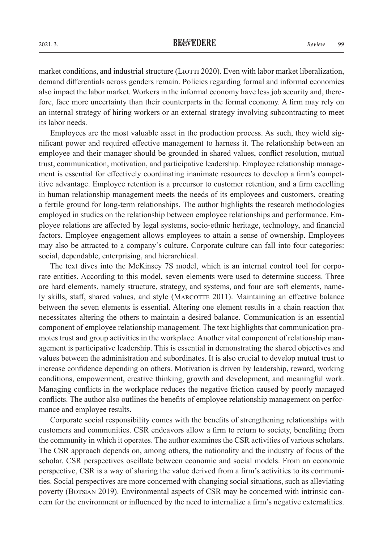market conditions, and industrial structure (LIOTTI 2020). Even with labor market liberalization, demand differentials across genders remain. Policies regarding formal and informal economies also impact the labor market. Workers in the informal economy have less job security and, therefore, face more uncertainty than their counterparts in the formal economy. A firm may rely on an internal strategy of hiring workers or an external strategy involving subcontracting to meet its labor needs.

Employees are the most valuable asset in the production process. As such, they wield significant power and required effective management to harness it. The relationship between an employee and their manager should be grounded in shared values, conflict resolution, mutual trust, communication, motivation, and participative leadership. Employee relationship management is essential for effectively coordinating inanimate resources to develop a firm's competitive advantage. Employee retention is a precursor to customer retention, and a firm excelling in human relationship management meets the needs of its employees and customers, creating a fertile ground for long-term relationships. The author highlights the research methodologies employed in studies on the relationship between employee relationships and performance. Employee relations are affected by legal systems, socio-ethnic heritage, technology, and financial factors. Employee engagement allows employees to attain a sense of ownership. Employees may also be attracted to a company's culture. Corporate culture can fall into four categories: social, dependable, enterprising, and hierarchical.

The text dives into the McKinsey 7S model, which is an internal control tool for corporate entities. According to this model, seven elements were used to determine success. Three are hard elements, namely structure, strategy, and systems, and four are soft elements, namely skills, staff, shared values, and style (MARCOTTE 2011). Maintaining an effective balance between the seven elements is essential. Altering one element results in a chain reaction that necessitates altering the others to maintain a desired balance. Communication is an essential component of employee relationship management. The text highlights that communication promotes trust and group activities in the workplace. Another vital component of relationship management is participative leadership. This is essential in demonstrating the shared objectives and values between the administration and subordinates. It is also crucial to develop mutual trust to increase confidence depending on others. Motivation is driven by leadership, reward, working conditions, empowerment, creative thinking, growth and development, and meaningful work. Managing conflicts in the workplace reduces the negative friction caused by poorly managed conflicts. The author also outlines the benefits of employee relationship management on performance and employee results.

Corporate social responsibility comes with the benefits of strengthening relationships with customers and communities. CSR endeavors allow a firm to return to society, benefiting from the community in which it operates. The author examines the CSR activities of various scholars. The CSR approach depends on, among others, the nationality and the industry of focus of the scholar. CSR perspectives oscillate between economic and social models. From an economic perspective, CSR is a way of sharing the value derived from a firm's activities to its communities. Social perspectives are more concerned with changing social situations, such as alleviating poverty (Botsian 2019). Environmental aspects of CSR may be concerned with intrinsic concern for the environment or influenced by the need to internalize a firm's negative externalities.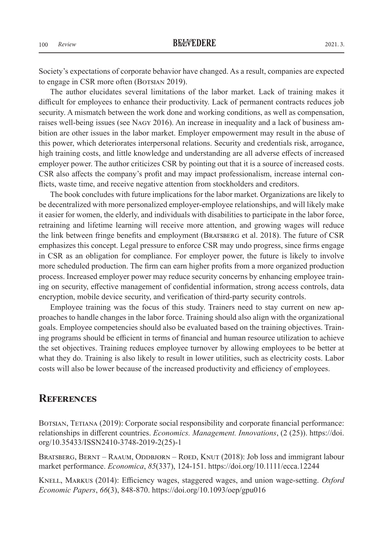Society's expectations of corporate behavior have changed. As a result, companies are expected to engage in CSR more often (BOTSIAN 2019).

The author elucidates several limitations of the labor market. Lack of training makes it difficult for employees to enhance their productivity. Lack of permanent contracts reduces job security. A mismatch between the work done and working conditions, as well as compensation, raises well-being issues (see Nagy 2016). An increase in inequality and a lack of business ambition are other issues in the labor market. Employer empowerment may result in the abuse of this power, which deteriorates interpersonal relations. Security and credentials risk, arrogance, high training costs, and little knowledge and understanding are all adverse effects of increased employer power. The author criticizes CSR by pointing out that it is a source of increased costs. CSR also affects the company's profit and may impact professionalism, increase internal conflicts, waste time, and receive negative attention from stockholders and creditors.

The book concludes with future implications for the labor market. Organizations are likely to be decentralized with more personalized employer-employee relationships, and will likely make it easier for women, the elderly, and individuals with disabilities to participate in the labor force, retraining and lifetime learning will receive more attention, and growing wages will reduce the link between fringe benefits and employment (Bratsberg et al. 2018). The future of CSR emphasizes this concept. Legal pressure to enforce CSR may undo progress, since firms engage in CSR as an obligation for compliance. For employer power, the future is likely to involve more scheduled production. The firm can earn higher profits from a more organized production process. Increased employer power may reduce security concerns by enhancing employee training on security, effective management of confidential information, strong access controls, data encryption, mobile device security, and verification of third-party security controls.

Employee training was the focus of this study. Trainers need to stay current on new approaches to handle changes in the labor force. Training should also align with the organizational goals. Employee competencies should also be evaluated based on the training objectives. Training programs should be efficient in terms of financial and human resource utilization to achieve the set objectives. Training reduces employee turnover by allowing employees to be better at what they do. Training is also likely to result in lower utilities, such as electricity costs. Labor costs will also be lower because of the increased productivity and efficiency of employees.

## **References**

BOTSIAN, TETIANA (2019): Corporate social responsibility and corporate financial performance: relationships in different countries. *Economics. Management. Innovations*, (2 (25)). https://doi. org/10.35433/ISSN2410-3748-2019-2(25)-1

BRATSBERG, BERNT – RAAUM, ODDBJØRN – RØED, KNUT (2018): Job loss and immigrant labour market performance. *Economica*, *85*(337), 124-151. https://doi.org/10.1111/ecca.12244

Knell, Markus (2014): Efficiency wages, staggered wages, and union wage-setting. *Oxford Economic Papers*, *66*(3), 848-870. https://doi.org/10.1093/oep/gpu016